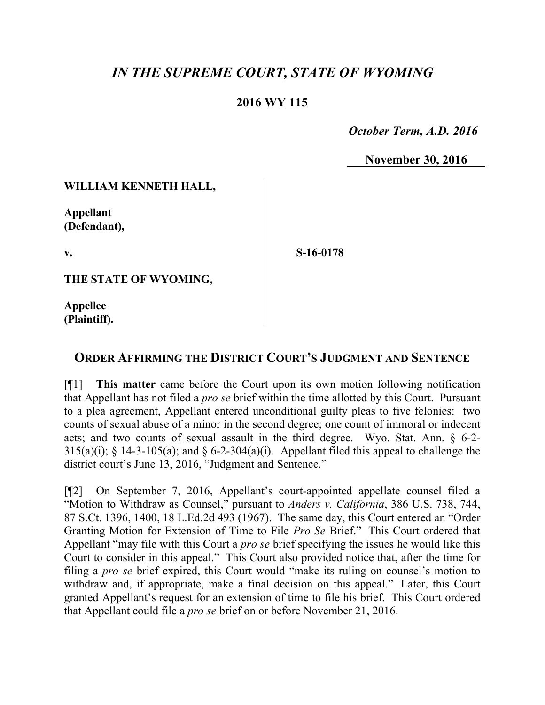# *IN THE SUPREME COURT, STATE OF WYOMING*

### **2016 WY 115**

 *October Term, A.D. 2016*

**November 30, 2016**

### **WILLIAM KENNETH HALL,**

**Appellant (Defendant),**

**v.**

**S-16-0178**

**THE STATE OF WYOMING,**

**Appellee (Plaintiff).**

## **ORDER AFFIRMING THE DISTRICT COURT'S JUDGMENT AND SENTENCE**

[¶1] **This matter** came before the Court upon its own motion following notification that Appellant has not filed a *pro se* brief within the time allotted by this Court. Pursuant to a plea agreement, Appellant entered unconditional guilty pleas to five felonies: two counts of sexual abuse of a minor in the second degree; one count of immoral or indecent acts; and two counts of sexual assault in the third degree. Wyo. Stat. Ann. § 6-2- 315(a)(i);  $\frac{1}{2}$  14-3-105(a); and  $\frac{1}{2}$  6-2-304(a)(i). Appellant filed this appeal to challenge the district court's June 13, 2016, "Judgment and Sentence."

[¶2] On September 7, 2016, Appellant's court-appointed appellate counsel filed a "Motion to Withdraw as Counsel," pursuant to *Anders v. California*, 386 U.S. 738, 744, 87 S.Ct. 1396, 1400, 18 L.Ed.2d 493 (1967). The same day, this Court entered an "Order Granting Motion for Extension of Time to File *Pro Se* Brief." This Court ordered that Appellant "may file with this Court a *pro se* brief specifying the issues he would like this Court to consider in this appeal." This Court also provided notice that, after the time for filing a *pro se* brief expired, this Court would "make its ruling on counsel's motion to withdraw and, if appropriate, make a final decision on this appeal." Later, this Court granted Appellant's request for an extension of time to file his brief. This Court ordered that Appellant could file a *pro se* brief on or before November 21, 2016.